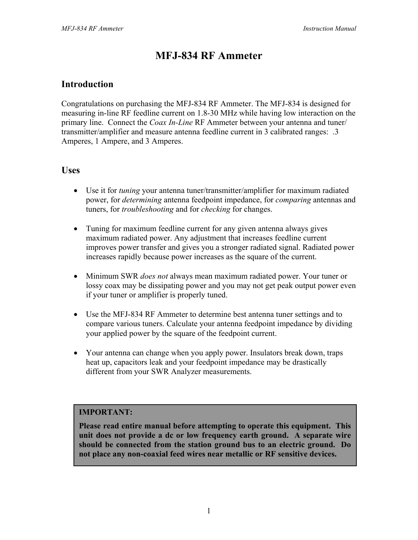# **MFJ-834 RF Ammeter**

### **Introduction**

Congratulations on purchasing the MFJ-834 RF Ammeter. The MFJ-834 is designed for measuring in-line RF feedline current on 1.8-30 MHz while having low interaction on the primary line. Connect the *Coax In-Line* RF Ammeter between your antenna and tuner/ transmitter/amplifier and measure antenna feedline current in 3 calibrated ranges: .3 Amperes, 1 Ampere, and 3 Amperes.

### **Uses**

- Use it for *tuning* your antenna tuner/transmitter/amplifier for maximum radiated power, for *determining* antenna feedpoint impedance, for *comparing* antennas and tuners, for *troubleshooting* and for *checking* for changes.
- Tuning for maximum feedline current for any given antenna always gives maximum radiated power. Any adjustment that increases feedline current improves power transfer and gives you a stronger radiated signal. Radiated power increases rapidly because power increases as the square of the current.
- Minimum SWR *does not* always mean maximum radiated power. Your tuner or lossy coax may be dissipating power and you may not get peak output power even if your tuner or amplifier is properly tuned.
- Use the MFJ-834 RF Ammeter to determine best antenna tuner settings and to compare various tuners. Calculate your antenna feedpoint impedance by dividing your applied power by the square of the feedpoint current.
- Your antenna can change when you apply power. Insulators break down, traps heat up, capacitors leak and your feedpoint impedance may be drastically different from your SWR Analyzer measurements.

### **IMPORTANT:**

**Please read entire manual before attempting to operate this equipment. This unit does not provide a dc or low frequency earth ground. A separate wire should be connected from the station ground bus to an electric ground. Do not place any non-coaxial feed wires near metallic or RF sensitive devices.**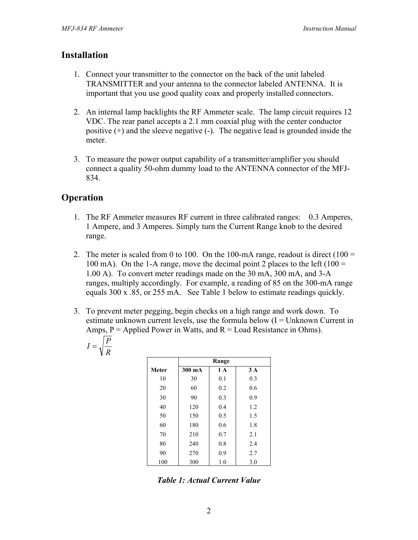### **Installation**

- 1. Connect your transmitter to the connector on the back of the unit labeled TRANSMITTER and your antenna to the connector labeled ANTENNA. It is important that you use good quality coax and properly installed connectors.
- 2. An internal lamp backlights the RF Ammeter scale. The lamp circuit requires 12 VDC. The rear panel accepts a 2.1 mm coaxial plug with the center conductor positive (+) and the sleeve negative (-). The negative lead is grounded inside the meter.
- 3. To measure the power output capability of a transmitter/amplifier you should connect a quality 50-ohm dummy load to the ANTENNA connector of the MFJ-834.

# **Operation**

- 1. The RF Ammeter measures RF current in three calibrated ranges: 0.3 Amperes, 1 Ampere, and 3 Amperes. Simply turn the Current Range knob to the desired range.
- 2. The meter is scaled from 0 to 100. On the 100-mA range, readout is direct  $(100 =$ 100 mA). On the 1-A range, move the decimal point 2 places to the left (100  $=$ 1.00 A). To convert meter readings made on the 30 mA, 300 mA, and 3-A ranges, multiply accordingly. For example, a reading of 85 on the 300-mA range equals 300 x .85, or 255 mA. See Table 1 below to estimate readings quickly.
- 3. To prevent meter pegging, begin checks on a high range and work down. To estimate unknown current levels, use the formula below  $(I = Unknown$  Current in Amps,  $P =$  Applied Power in Watts, and  $R =$  Load Resistance in Ohms).

$$
I = \sqrt{\frac{P}{R}}
$$

|              | Range  |     |     |
|--------------|--------|-----|-----|
| <b>Meter</b> | 300 mA | 1 A | 3A  |
| 10           | 30     | 0.1 | 0.3 |
| 20           | 60     | 0.2 | 0.6 |
| 30           | 90     | 0.3 | 0.9 |
| 40           | 120    | 0.4 | 1.2 |
| 50           | 150    | 0.5 | 1.5 |
| 60           | 180    | 0.6 | 1.8 |
| 70           | 210    | 0.7 | 2.1 |
| 80           | 240    | 0.8 | 2.4 |
| 90           | 270    | 0.9 | 2.7 |
| 100          | 300    | 1.0 | 3.0 |

*Table 1: Actual Current Value*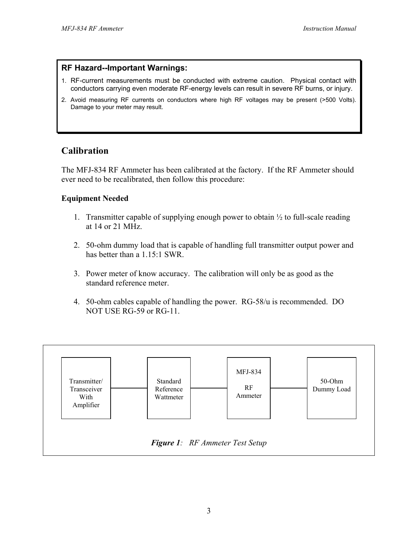#### **RF Hazard--Important Warnings:**

- 1. RF-current measurements must be conducted with extreme caution. Physical contact with conductors carrying even moderate RF-energy levels can result in severe RF burns, or injury.
- 2. Avoid measuring RF currents on conductors where high RF voltages may be present (>500 Volts). Damage to your meter may result.

### **Calibration**

The MFJ-834 RF Ammeter has been calibrated at the factory. If the RF Ammeter should ever need to be recalibrated, then follow this procedure:

### **Equipment Needed**

- 1. Transmitter capable of supplying enough power to obtain  $\frac{1}{2}$  to full-scale reading at 14 or 21 MHz.
- 2. 50-ohm dummy load that is capable of handling full transmitter output power and has better than a 1.15:1 SWR.
- 3. Power meter of know accuracy. The calibration will only be as good as the standard reference meter.
- 4. 50-ohm cables capable of handling the power. RG-58/u is recommended. DO NOT USE RG-59 or RG-11.

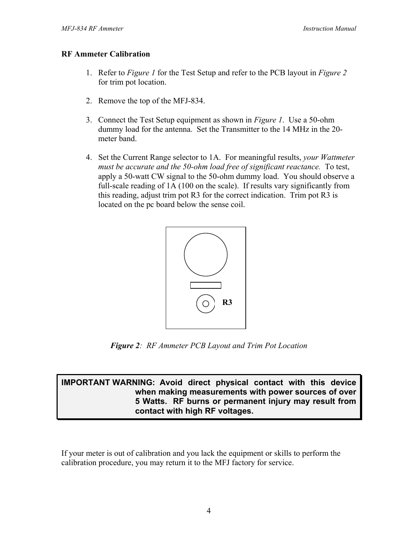### **RF Ammeter Calibration**

- 1. Refer to *Figure 1* for the Test Setup and refer to the PCB layout in *Figure 2*  for trim pot location.
- 2. Remove the top of the MFJ-834.
- 3. Connect the Test Setup equipment as shown in *Figure 1*. Use a 50-ohm dummy load for the antenna. Set the Transmitter to the 14 MHz in the 20 meter band.
- 4. Set the Current Range selector to 1A. For meaningful results, *your Wattmeter must be accurate and the 50-ohm load free of significant reactance.* To test, apply a 50-watt CW signal to the 50-ohm dummy load. You should observe a full-scale reading of 1A (100 on the scale). If results vary significantly from this reading, adjust trim pot R3 for the correct indication. Trim pot R3 is located on the pc board below the sense coil.



*Figure 2: RF Ammeter PCB Layout and Trim Pot Location* 

### **IMPORTANT WARNING: Avoid direct physical contact with this device when making measurements with power sources of over 5 Watts. RF burns or permanent injury may result from contact with high RF voltages.**

If your meter is out of calibration and you lack the equipment or skills to perform the calibration procedure, you may return it to the MFJ factory for service.